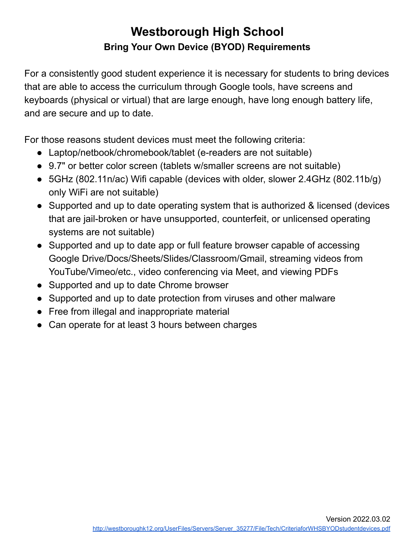## **Westborough High School Bring Your Own Device (BYOD) Requirements**

For a consistently good student experience it is necessary for students to bring devices that are able to access the curriculum through Google tools, have screens and keyboards (physical or virtual) that are large enough, have long enough battery life, and are secure and up to date.

For those reasons student devices must meet the following criteria:

- Laptop/netbook/chromebook/tablet (e-readers are not suitable)
- 9.7" or better color screen (tablets w/smaller screens are not suitable)
- 5GHz (802.11n/ac) Wifi capable (devices with older, slower 2.4GHz (802.11b/g) only WiFi are not suitable)
- Supported and up to date operating system that is authorized & licensed (devices that are jail-broken or have unsupported, counterfeit, or unlicensed operating systems are not suitable)
- Supported and up to date app or full feature browser capable of accessing Google Drive/Docs/Sheets/Slides/Classroom/Gmail, streaming videos from YouTube/Vimeo/etc., video conferencing via Meet, and viewing PDFs
- Supported and up to date Chrome browser
- Supported and up to date protection from viruses and other malware
- Free from illegal and inappropriate material
- Can operate for at least 3 hours between charges